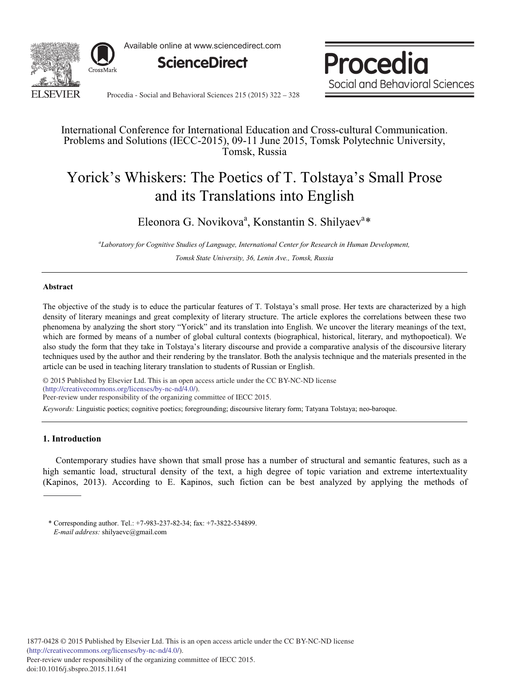

Available online at www.sciencedirect.com





Procedia - Social and Behavioral Sciences 215 (2015) 322 - 328

## International Conference for International Education and Cross-cultural Communication. Problems and Solutions (IECC-2015), 09-11 June 2015, Tomsk Polytechnic University, Tomsk, Russia

# Yorick's Whiskers: The Poetics of T. Tolstaya's Small Prose and its Translations into English

Eleonora G. Novikova<sup>a</sup>, Konstantin S. Shilyaev<sup>a\*</sup>

*a Laboratory for Cognitive Studies of Language, International Center for Research in Human Development, Tomsk State University, 36, Lenin Ave., Tomsk, Russia*

#### **Abstract**

The objective of the study is to educe the particular features of T. Tolstaya's small prose. Her texts are characterized by a high density of literary meanings and great complexity of literary structure. The article explores the correlations between these two phenomena by analyzing the short story "Yorick" and its translation into English. We uncover the literary meanings of the text, which are formed by means of a number of global cultural contexts (biographical, historical, literary, and mythopoetical). We also study the form that they take in Tolstaya's literary discourse and provide a comparative analysis of the discoursive literary techniques used by the author and their rendering by the translator. Both the analysis technique and the materials presented in the article can be used in teaching literary translation to students of Russian or English.

© 2015 Published by Elsevier Ltd. This is an open access article under the CC BY-NC-ND license (http://creativecommons.org/licenses/by-nc-nd/4.0/). Peer-review under responsibility of the organizing committee of IECC 2015.

*Keywords:* Linguistic poetics; cognitive poetics; foregrounding; discoursive literary form; Tatyana Tolstaya; neo-baroque.

## **1. Introduction**

Contemporary studies have shown that small prose has a number of structural and semantic features, such as a high semantic load, structural density of the text, a high degree of topic variation and extreme intertextuality (Kapinos, 2013). According to E. Kapinos, such fiction can be best analyzed by applying the methods of

<sup>\*</sup> Corresponding author. Tel.: +7-983-237-82-34; fax: +7-3822-534899. *E-mail address:* shilyaevc@gmail.com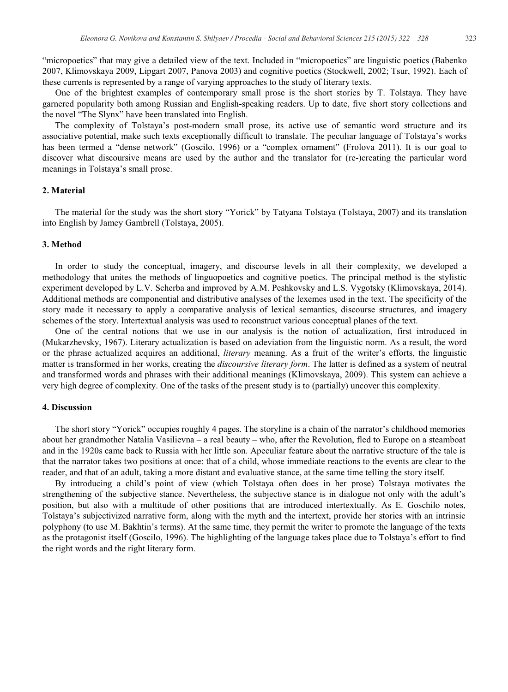One of the brightest examples of contemporary small prose is the short stories by T. Tolstaya. They have garnered popularity both among Russian and English-speaking readers. Up to date, five short story collections and the novel "The Slynx" have been translated into English.

The complexity of Tolstaya's post-modern small prose, its active use of semantic word structure and its associative potential, make such texts exceptionally difficult to translate. The peculiar language of Tolstaya's works has been termed a "dense network" (Goscilo, 1996) or a "complex ornament" (Frolova 2011). It is our goal to discover what discoursive means are used by the author and the translator for (re-)creating the particular word meanings in Tolstaya's small prose.

## **2. Material**

The material for the study was the short story "Yorick" by Tatyana Tolstaya (Tolstaya, 2007) and its translation into English by Jamey Gambrell (Tolstaya, 2005).

### **3. Method**

In order to study the conceptual, imagery, and discourse levels in all their complexity, we developed a methodology that unites the methods of linguopoetics and cognitive poetics. The principal method is the stylistic experiment developed by L.V. Scherba and improved by A.M. Peshkovsky and L.S. Vygotsky (Klimovskaya, 2014). Additional methods are componential and distributive analyses of the lexemes used in the text. The specificity of the story made it necessary to apply a comparative analysis of lexical semantics, discourse structures, and imagery schemes of the story. Intertextual analysis was used to reconstruct various conceptual planes of the text.

One of the central notions that we use in our analysis is the notion of actualization, first introduced in (Mukarzhevsky, 1967). Literary actualization is based on adeviation from the linguistic norm. As a result, the word or the phrase actualized acquires an additional, *literary* meaning. As a fruit of the writer's efforts, the linguistic matter is transformed in her works, creating the *discoursive literary form*. The latter is defined as a system of neutral and transformed words and phrases with their additional meanings (Klimovskaya, 2009). This system can achieve a very high degree of complexity. One of the tasks of the present study is to (partially) uncover this complexity.

## **4. Discussion**

The short story "Yorick" occupies roughly 4 pages. The storyline is a chain of the narrator's childhood memories about her grandmother Natalia Vasilievna – a real beauty – who, after the Revolution, fled to Europe on a steamboat and in the 1920s came back to Russia with her little son. Apeculiar feature about the narrative structure of the tale is that the narrator takes two positions at once: that of a child, whose immediate reactions to the events are clear to the reader, and that of an adult, taking a more distant and evaluative stance, at the same time telling the story itself.

By introducing a child's point of view (which Tolstaya often does in her prose) Tolstaya motivates the strengthening of the subjective stance. Nevertheless, the subjective stance is in dialogue not only with the adult's position, but also with a multitude of other positions that are introduced intertextually. As E. Goschilo notes, Tolstaya's subjectivized narrative form, along with the myth and the intertext, provide her stories with an intrinsic polyphony (to use M. Bakhtin's terms). At the same time, they permit the writer to promote the language of the texts as the protagonist itself (Goscilo, 1996). The highlighting of the language takes place due to Tolstaya's effort to find the right words and the right literary form.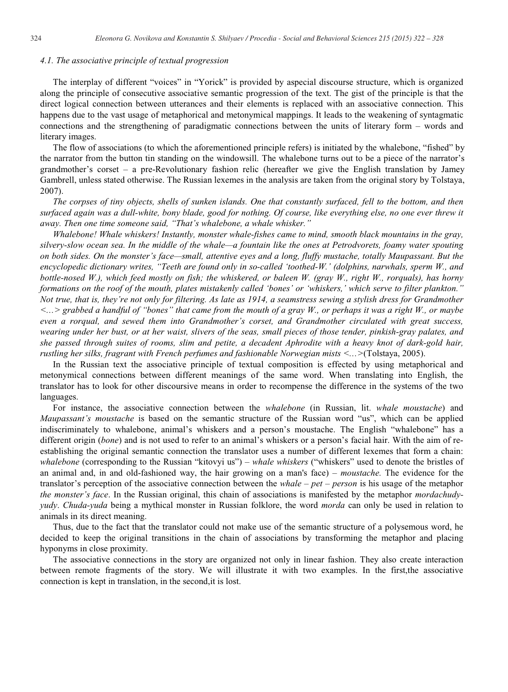#### *4.1. The associative principle of textual progression*

The interplay of different "voices" in "Yorick" is provided by aspecial discourse structure, which is organized along the principle of consecutive associative semantic progression of the text. The gist of the principle is that the direct logical connection between utterances and their elements is replaced with an associative connection. This happens due to the vast usage of metaphorical and metonymical mappings. It leads to the weakening of syntagmatic connections and the strengthening of paradigmatic connections between the units of literary form – words and literary images.

The flow of associations (to which the aforementioned principle refers) is initiated by the whalebone, "fished" by the narrator from the button tin standing on the windowsill. The whalebone turns out to be a piece of the narrator's grandmother's corset – a pre-Revolutionary fashion relic (hereafter we give the English translation by Jamey Gambrell, unless stated otherwise. The Russian lexemes in the analysis are taken from the original story by Tolstaya, 2007).

*The corpses of tiny objects, shells of sunken islands. One that constantly surfaced, fell to the bottom, and then surfaced again was a dull-white, bony blade, good for nothing. Of course, like everything else, no one ever threw it away. Then one time someone said, "That's whalebone, a whale whisker."*

*Whalebone! Whale whiskers! Instantly, monster whale-fishes came to mind, smooth black mountains in the gray, silvery-slow ocean sea. In the middle of the whale—a fountain like the ones at Petrodvorets, foamy water spouting on both sides. On the monster's face—small, attentive eyes and a long, fluffy mustache, totally Maupassant. But the encyclopedic dictionary writes, "Teeth are found only in so-called 'toothed-W.' (dolphins, narwhals, sperm W., and bottle-nosed W.), which feed mostly on fish; the whiskered, or baleen W. (gray W., right W., rorquals), has horny formations on the roof of the mouth, plates mistakenly called 'bones' or 'whiskers,' which serve to filter plankton." Not true, that is, they're not only for filtering. As late as 1914, a seamstress sewing a stylish dress for Grandmother <…> grabbed a handful of "bones" that came from the mouth of a gray W., or perhaps it was a right W., or maybe even a rorqual, and sewed them into Grandmother's corset, and Grandmother circulated with great success, wearing under her bust, or at her waist, slivers of the seas, small pieces of those tender, pinkish-gray palates, and she passed through suites of rooms, slim and petite, a decadent Aphrodite with a heavy knot of dark-gold hair, rustling her silks, fragrant with French perfumes and fashionable Norwegian mists <…>*(Tolstaya, 2005).

In the Russian text the associative principle of textual composition is effected by using metaphorical and metonymical connections between different meanings of the same word. When translating into English, the translator has to look for other discoursive means in order to recompense the difference in the systems of the two languages.

For instance, the associative connection between the *whalebone* (in Russian, lit. *whale moustache*) and *Maupassant's moustache* is based on the semantic structure of the Russian word "us", which can be applied indiscriminately to whalebone, animal's whiskers and a person's moustache. The English "whalebone" has a different origin (*bone*) and is not used to refer to an animal's whiskers or a person's facial hair. With the aim of reestablishing the original semantic connection the translator uses a number of different lexemes that form a chain: *whalebone* (corresponding to the Russian "kitovyi us") – *whale whiskers* ("whiskers" used to denote the bristles of an animal and, in and old-fashioned way, the hair growing on a man's face) – *moustache.* The evidence for the translator's perception of the associative connection between the *whale – pet – person* is his usage of the metaphor *the monster's face*. In the Russian original, this chain of associations is manifested by the metaphor *mordachudyyudy*. *Chuda-yuda* being a mythical monster in Russian folklore, the word *morda* can only be used in relation to animals in its direct meaning.

Thus, due to the fact that the translator could not make use of the semantic structure of a polysemous word, he decided to keep the original transitions in the chain of associations by transforming the metaphor and placing hyponyms in close proximity.

The associative connections in the story are organized not only in linear fashion. They also create interaction between remote fragments of the story. We will illustrate it with two examples. In the first,the associative connection is kept in translation, in the second,it is lost.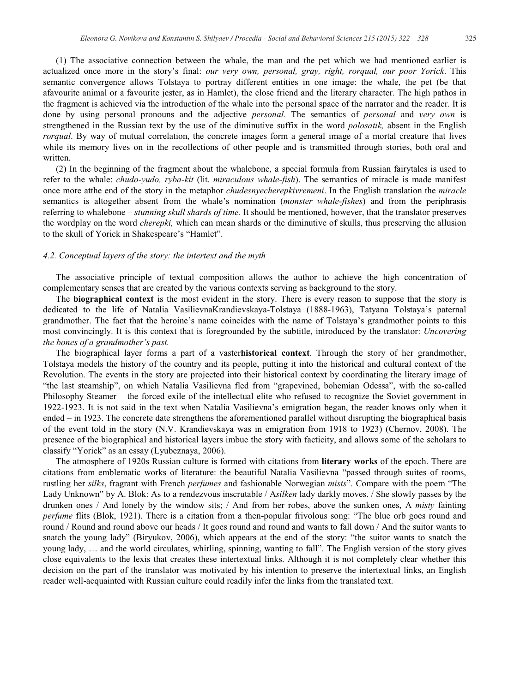(1) The associative connection between the whale, the man and the pet which we had mentioned earlier is actualized once more in the story's final: *our very own, personal, gray, right, rorqual, our poor Yorick*. This semantic convergence allows Tolstaya to portray different entities in one image: the whale, the pet (be that afavourite animal or a favourite jester, as in Hamlet), the close friend and the literary character. The high pathos in the fragment is achieved via the introduction of the whale into the personal space of the narrator and the reader. It is done by using personal pronouns and the adjective *personal.* The semantics of *personal* and *very own* is strengthened in the Russian text by the use of the diminutive suffix in the word *polosatik,* absent in the English *rorqual*. By way of mutual correlation, the concrete images form a general image of a mortal creature that lives while its memory lives on in the recollections of other people and is transmitted through stories, both oral and written.

(2) In the beginning of the fragment about the whalebone, a special formula from Russian fairytales is used to refer to the whale: *chudo-yudo, ryba-kit* (lit. *miraculous whale-fish*). The semantics of miracle is made manifest once more atthe end of the story in the metaphor *chudesnyecherepkivremeni*. In the English translation the *miracle*  semantics is altogether absent from the whale's nomination (*monster whale-fishes*) and from the periphrasis referring to whalebone – *stunning skull shards of time.* It should be mentioned, however, that the translator preserves the wordplay on the word *cherepki,* which can mean shards or the diminutive of skulls, thus preserving the allusion to the skull of Yorick in Shakespeare's "Hamlet".

#### *4.2. Conceptual layers of the story: the intertext and the myth*

The associative principle of textual composition allows the author to achieve the high concentration of complementary senses that are created by the various contexts serving as background to the story.

The **biographical context** is the most evident in the story. There is every reason to suppose that the story is dedicated to the life of Natalia VasilievnaKrandievskaya-Tolstaya (1888-1963), Tatyana Tolstaya's paternal grandmother. The fact that the heroine's name coincides with the name of Tolstaya's grandmother points to this most convincingly. It is this context that is foregrounded by the subtitle, introduced by the translator: *Uncovering the bones of a grandmother's past.*

The biographical layer forms a part of a vaster**historical context**. Through the story of her grandmother, Tolstaya models the history of the country and its people, putting it into the historical and cultural context of the Revolution. The events in the story are projected into their historical context by coordinating the literary image of "the last steamship", on which Natalia Vasilievna fled from "grapevined, bohemian Odessa", with the so-called Philosophy Steamer – the forced exile of the intellectual elite who refused to recognize the Soviet government in 1922-1923. It is not said in the text when Natalia Vasilievna's emigration began, the reader knows only when it ended – in 1923. The concrete date strengthens the aforementioned parallel without disrupting the biographical basis of the event told in the story (N.V. Krandievskaya was in emigration from 1918 to 1923) (Chernov, 2008). The presence of the biographical and historical layers imbue the story with facticity, and allows some of the scholars to classify "Yorick" as an essay (Lyubeznaya, 2006).

The atmosphere of 1920s Russian culture is formed with citations from **literary works** of the epoch. There are citations from emblematic works of literature: the beautiful Natalia Vasilievna "passed through suites of rooms, rustling her *silks*, fragrant with French *perfumes* and fashionable Norwegian *mists*". Compare with the poem "The Lady Unknown" by A. Blok: As to a rendezvous inscrutable / A*silken* lady darkly moves. / She slowly passes by the drunken ones / And lonely by the window sits; / And from her robes, above the sunken ones, A *misty* fainting *perfume* flits (Blok, 1921). There is a citation from a then-popular frivolous song: "The blue orb goes round and round / Round and round above our heads / It goes round and round and wants to fall down / And the suitor wants to snatch the young lady" (Biryukov, 2006), which appears at the end of the story: "the suitor wants to snatch the young lady, … and the world circulates, whirling, spinning, wanting to fall". The English version of the story gives close equivalents to the lexis that creates these intertextual links. Although it is not completely clear whether this decision on the part of the translator was motivated by his intention to preserve the intertextual links, an English reader well-acquainted with Russian culture could readily infer the links from the translated text.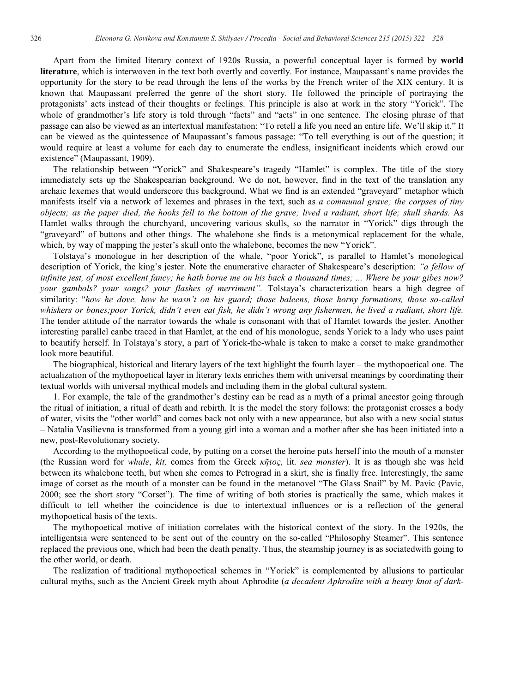Apart from the limited literary context of 1920s Russia, a powerful conceptual layer is formed by **world literature**, which is interwoven in the text both overtly and covertly. For instance, Maupassant's name provides the opportunity for the story to be read through the lens of the works by the French writer of the XIX century. It is known that Maupassant preferred the genre of the short story. He followed the principle of portraying the protagonists' acts instead of their thoughts or feelings. This principle is also at work in the story "Yorick". The whole of grandmother's life story is told through "facts" and "acts" in one sentence. The closing phrase of that passage can also be viewed as an intertextual manifestation: "To retell a life you need an entire life. We'll skip it." It can be viewed as the quintessence of Maupassant's famous passage: "To tell everything is out of the question; it would require at least a volume for each day to enumerate the endless, insignificant incidents which crowd our existence" (Maupassant, 1909).

The relationship between "Yorick" and Shakespeare's tragedy "Hamlet" is complex. The title of the story immediately sets up the Shakespearian background. We do not, however, find in the text of the translation any archaic lexemes that would underscore this background. What we find is an extended "graveyard" metaphor which manifests itself via a network of lexemes and phrases in the text, such as *a communal grave; the corpses of tiny objects; as the paper died, the hooks fell to the bottom of the grave; lived a radiant, short life; skull shards.* As Hamlet walks through the churchyard, uncovering various skulls, so the narrator in "Yorick" digs through the "graveyard" of buttons and other things. The whalebone she finds is a metonymical replacement for the whale, which, by way of mapping the jester's skull onto the whalebone, becomes the new "Yorick".

Tolstaya's monologue in her description of the whale, "poor Yorick", is parallel to Hamlet's monological description of Yorick, the king's jester. Note the enumerative character of Shakespeare's description: *"a fellow of infinite jest, of most excellent fancy; he hath borne me on his back a thousand times; ... Where be your gibes now? your gambols? your songs? your flashes of merriment".* Tolstaya's characterization bears a high degree of similarity: "*how he dove, how he wasn't on his guard; those baleens, those horny formations, those so-called whiskers or bones;poor Yorick, didn't even eat fish, he didn't wrong any fishermen, he lived a radiant, short life.* The tender attitude of the narrator towards the whale is consonant with that of Hamlet towards the jester. Another interesting parallel canbe traced in that Hamlet, at the end of his monologue, sends Yorick to a lady who uses paint to beautify herself. In Tolstaya's story, a part of Yorick-the-whale is taken to make a corset to make grandmother look more beautiful.

The biographical, historical and literary layers of the text highlight the fourth layer – the mythopoetical one. The actualization of the mythopoetical layer in literary texts enriches them with universal meanings by coordinating their textual worlds with universal mythical models and including them in the global cultural system.

1. For example, the tale of the grandmother's destiny can be read as a myth of a primal ancestor going through the ritual of initiation, a ritual of death and rebirth. It is the model the story follows: the protagonist crosses a body of water, visits the "other world" and comes back not only with a new appearance, but also with a new social status – Natalia Vasilievna is transformed from a young girl into a woman and a mother after she has been initiated into a new, post-Revolutionary society.

According to the mythopoetical code, by putting on a corset the heroine puts herself into the mouth of a monster (the Russian word for *whale*, *kit*, comes from the Greek  $\kappa \tilde{\eta} \tau \sigma_S$ , lit. *sea monster*). It is as though she was held between its whalebone teeth, but when she comes to Petrograd in a skirt, she is finally free. Interestingly, the same image of corset as the mouth of a monster can be found in the metanovel "The Glass Snail" by M. Pavic (Pavic, 2000; see the short story "Corset"). The time of writing of both stories is practically the same, which makes it difficult to tell whether the coincidence is due to intertextual influences or is a reflection of the general mythopoetical basis of the texts.

The mythopoetical motive of initiation correlates with the historical context of the story. In the 1920s, the intelligentsia were sentenced to be sent out of the country on the so-called "Philosophy Steamer". This sentence replaced the previous one, which had been the death penalty. Thus, the steamship journey is as sociatedwith going to the other world, or death.

The realization of traditional mythopoetical schemes in "Yorick" is complemented by allusions to particular cultural myths, such as the Ancient Greek myth about Aphrodite (*a decadent Aphrodite with a heavy knot of dark-*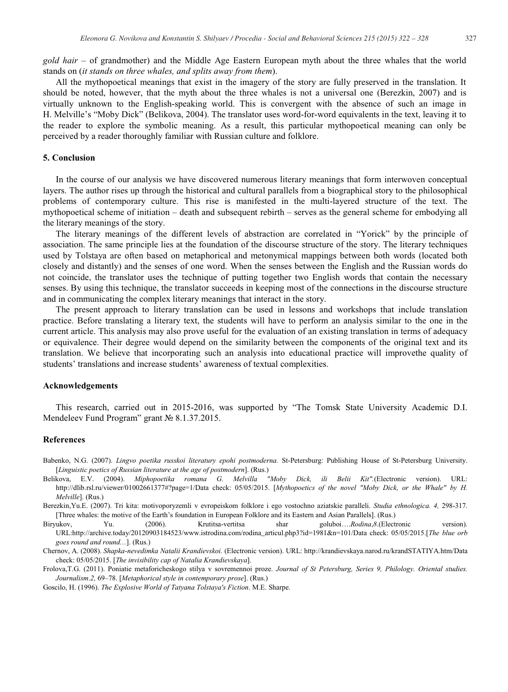*gold hair* – of grandmother) and the Middle Age Eastern European myth about the three whales that the world stands on (*it stands on three whales, and splits away from them*).

All the mythopoetical meanings that exist in the imagery of the story are fully preserved in the translation. It should be noted, however, that the myth about the three whales is not a universal one (Berezkin, 2007) and is virtually unknown to the English-speaking world. This is convergent with the absence of such an image in H. Melville's "Moby Dick" (Belikova, 2004). The translator uses word-for-word equivalents in the text, leaving it to the reader to explore the symbolic meaning. As a result, this particular mythopoetical meaning can only be perceived by a reader thoroughly familiar with Russian culture and folklore.

## **5. Conclusion**

In the course of our analysis we have discovered numerous literary meanings that form interwoven conceptual layers. The author rises up through the historical and cultural parallels from a biographical story to the philosophical problems of contemporary culture. This rise is manifested in the multi-layered structure of the text. The mythopoetical scheme of initiation – death and subsequent rebirth – serves as the general scheme for embodying all the literary meanings of the story.

The literary meanings of the different levels of abstraction are correlated in "Yorick" by the principle of association. The same principle lies at the foundation of the discourse structure of the story. The literary techniques used by Tolstaya are often based on metaphorical and metonymical mappings between both words (located both closely and distantly) and the senses of one word. When the senses between the English and the Russian words do not coincide, the translator uses the technique of putting together two English words that contain the necessary senses. By using this technique, the translator succeeds in keeping most of the connections in the discourse structure and in communicating the complex literary meanings that interact in the story.

The present approach to literary translation can be used in lessons and workshops that include translation practice. Before translating a literary text, the students will have to perform an analysis similar to the one in the current article. This analysis may also prove useful for the evaluation of an existing translation in terms of adequacy or equivalence. Their degree would depend on the similarity between the components of the original text and its translation. We believe that incorporating such an analysis into educational practice will improvethe quality of students' translations and increase students' awareness of textual complexities.

#### **Acknowledgements**

This research, carried out in 2015-2016, was supported by "The Tomsk State University Academic D.I. Mendeleev Fund Program" grant No 8.1.37.2015.

#### **References**

- Babenko, N.G. (2007). *Lingvo poetika russkoi literatury epohi postmoderna.* St-Petersburg: Publishing House of St-Petersburg University. [*Linguistic poetics of Russian literature at the age of postmodern*]. (Rus.)
- Belikova, E.V. (2004). *Miphopoetika romana G. Melvilla "Moby Dick, ili Belii Kit".*(Electronic version). URL: http://dlib.rsl.ru/viewer/01002661377#?page=1/Data check: 05/05/2015. [*Mythopoetics of the novel "Moby Dick, or the Whale" by H. Melville*]. (Rus.)

Berezkin,Yu.E. (2007). Tri kita: motivoporyzemli v evropeiskom folklore i ego vostochno aziatskie paralleli. *Studia ethnologica. 4,* 298-317. [Three whales: the motive of the Earth's foundation in European Folklore and its Eastern and Asian Parallels]. (Rus.)

- Biryukov, Yu. (2006). Krutitsa-vertitsa shar goluboi….*Rodina*,*8*.(Electronic version). URL:http://archive.today/20120903184523/www.istrodina.com/rodina\_articul.php3?id=1981&n=101/Data check: 05/05/2015.[*The blue orb goes round and round…*]. (Rus.)
- Chernov, A. (2008). *Shapka-nevedimka Natalii Krandievskoi.* (Electronic version). URL: http://krandievskaya.narod.ru/krandSTATIYA.htm/Data check: 05/05/2015. [*The invisibility cap of Natalia Krandievskaya*].
- Frolova,Ɍ.G. (2011). Poniatie metaforicheskogo stilya v sovremennoi proze. *Journal of St Petersburg, Series 9, Philology. Oriental studies. Journalism*.*2,* 69–78. [*Metaphorical style in contemporary prose*]. (Rus.)

Goscilo, H. (1996). *The Explosive World of Tatyana Tolstaya's Fiction*. M.E. Sharpe.